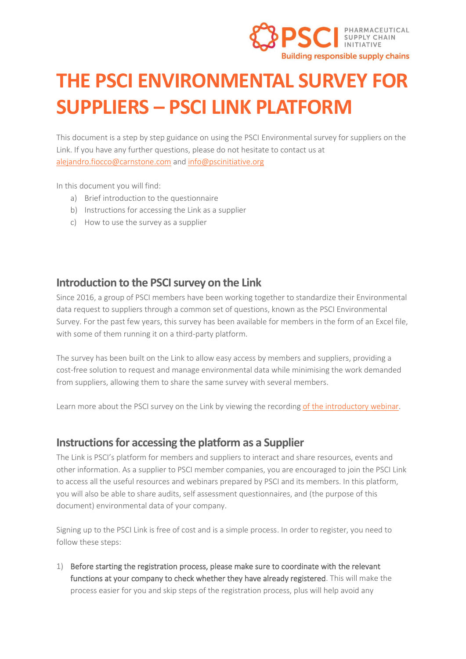

# **THE PSCI ENVIRONMENTAL SURVEY FOR SUPPLIERS – PSCI LINK PLATFORM**

This document is a step by step guidance on using the PSCI Environmental survey for suppliers on the Link. If you have any further questions, please do not hesitate to contact us at [alejandro.fiocco@carnstone.com](mailto:Alejandro.fiocco@carnstone.com) and [info@pscinitiative.org](mailto:info@pscinitiative.org)

In this document you will find:

- a) Brief introduction to the questionnaire
- b) Instructions for accessing the Link as a supplier
- c) How to use the survey as a supplier

## **Introduction to the PSCI survey on the Link**

Since 2016, a group of PSCI members have been working together to standardize their Environmental data request to suppliers through a common set of questions, known as the PSCI Environmental Survey. For the past few years, this survey has been available for members in the form of an Excel file, with some of them running it on a third-party platform.

The survey has been built on the Link to allow easy access by members and suppliers, providing a cost-free solution to request and manage environmental data while minimising the work demanded from suppliers, allowing them to share the same survey with several members.

Learn more about the PSCI survey on the Link by viewing the recordin[g of the introductory webinar.](https://pscinitiative.org/resource?resource=975)

## **Instructions for accessing the platform as a Supplier**

The Link is PSCI's platform for members and suppliers to interact and share resources, events and other information. As a supplier to PSCI member companies, you are encouraged to join the PSCI Link to access all the useful resources and webinars prepared by PSCI and its members. In this platform, you will also be able to share audits, self assessment questionnaires, and (the purpose of this document) environmental data of your company.

Signing up to the PSCI Link is free of cost and is a simple process. In order to register, you need to follow these steps:

1) Before starting the registration process, please make sure to coordinate with the relevant functions at your company to check whether they have already registered. This will make the process easier for you and skip steps of the registration process, plus will help avoid any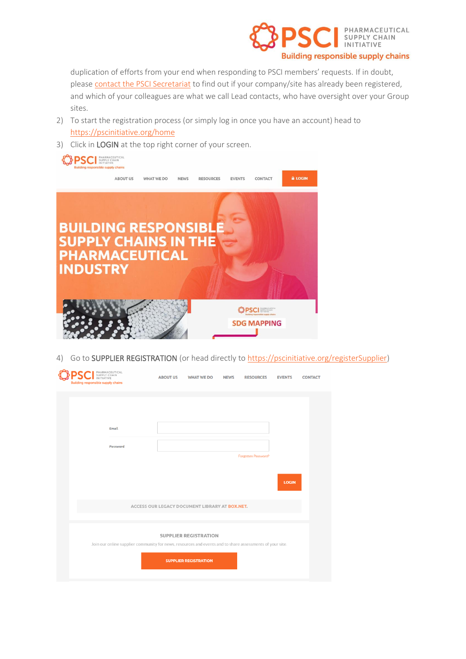

duplication of efforts from your end when responding to PSCI members' requests. If in doubt, please [contact the PSCI Secretariat](mailto:info@pscinitiative.org) to find out if your company/site has already been registered, and which of your colleagues are what we call Lead contacts, who have oversight over your Group sites.

- 2) To start the registration process (or simply log in once you have an account) head to <https://pscinitiative.org/home>
- 3) Click in LOGIN at the top right corner of your screen.



4) Go to SUPPLIER REGISTRATION (or head directly to [https://pscinitiative.org/registerSupplier\)](https://pscinitiative.org/registerSupplier)

| SUPPLY CHAIN<br><b>Building responsible supply chains</b> | PHARMACEUTICAL                                                                                           | <b>ABOUT US</b> | <b>WHAT WE DO</b>                                            | <b>NEWS</b> | <b>RESOURCES</b>    | <b>EVENTS</b> | <b>CONTACT</b> |
|-----------------------------------------------------------|----------------------------------------------------------------------------------------------------------|-----------------|--------------------------------------------------------------|-------------|---------------------|---------------|----------------|
|                                                           | Email<br>Password                                                                                        |                 |                                                              |             |                     |               |                |
|                                                           |                                                                                                          |                 |                                                              |             | Forgotten Password? | <b>LOGIN</b>  |                |
|                                                           |                                                                                                          |                 | ACCESS OUR LEGACY DOCUMENT LIBRARY AT BOX.NET.               |             |                     |               |                |
|                                                           | Join our online supplier community for news, resources and events and to share assessments of your site. |                 | <b>SUPPLIER REGISTRATION</b><br><b>SUPPLIER REGISTRATION</b> |             |                     |               |                |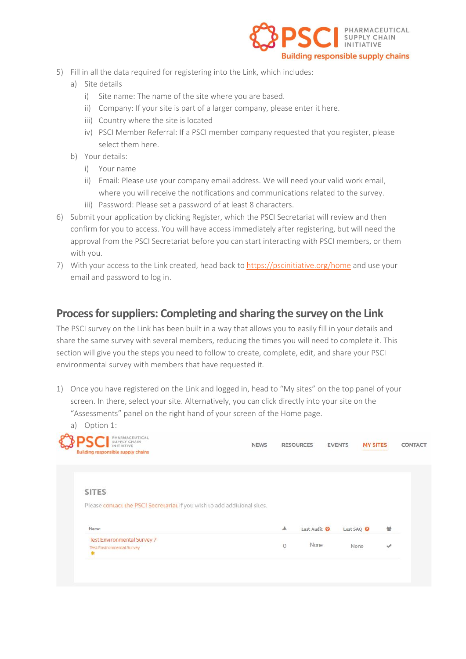

- 5) Fill in all the data required for registering into the Link, which includes:
	- a) Site details
		- i) Site name: The name of the site where you are based.
		- ii) Company: If your site is part of a larger company, please enter it here.
		- iii) Country where the site is located
		- iv) PSCI Member Referral: If a PSCI member company requested that you register, please select them here.
	- b) Your details:
		- i) Your name
		- ii) Email: Please use your company email address. We will need your valid work email, where you will receive the notifications and communications related to the survey.
		- iii) Password: Please set a password of at least 8 characters.
- 6) Submit your application by clicking Register, which the PSCI Secretariat will review and then confirm for you to access. You will have access immediately after registering, but will need the approval from the PSCI Secretariat before you can start interacting with PSCI members, or them with you.
- 7) With your access to the Link created, head back to<https://pscinitiative.org/home> and use your email and password to log in.

# **Process for suppliers: Completing and sharing the survey on the Link**

The PSCI survey on the Link has been built in a way that allows you to easily fill in your details and share the same survey with several members, reducing the times you will need to complete it. This section will give you the steps you need to follow to create, complete, edit, and share your PSCI environmental survey with members that have requested it.

1) Once you have registered on the Link and logged in, head to "My sites" on the top panel of your screen. In there, select your site. Alternatively, you can click directly into your site on the "Assessments" panel on the right hand of your screen of the Home page. a) Option  $1$ .

| PHARMACEUTICAL<br>SUPPLY CHAIN<br>INITIATIVE<br><b>Building responsible supply chains</b> | <b>NEWS</b> |   | <b>RESOURCES</b>        | <b>EVENTS</b>         | <b>MY SITES</b> | CONTACT |
|-------------------------------------------------------------------------------------------|-------------|---|-------------------------|-----------------------|-----------------|---------|
| <b>SITES</b>                                                                              |             |   |                         |                       |                 |         |
| Please contact the PSCI Secretariat if you wish to add additional sites.                  |             |   |                         |                       |                 |         |
| Name                                                                                      |             | 土 | Last Audit <sup>O</sup> | Last SAQ <sup>O</sup> |                 | 鬙       |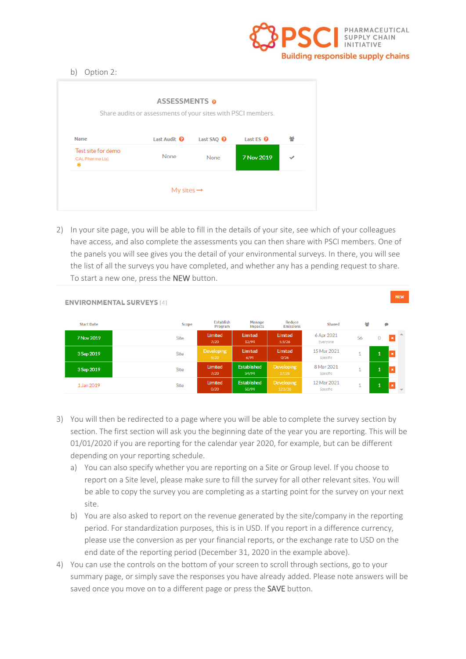

**NEW** 

#### b) Option 2:

|                                       | ASSESSMENTS o<br>Share audits or assessments of your sites with PSCI members. |                       |                 |     |
|---------------------------------------|-------------------------------------------------------------------------------|-----------------------|-----------------|-----|
| <b>Name</b>                           | Last Audit <sup>0</sup>                                                       | Last SAQ <sup>0</sup> | Last ES $\odot$ | 2oS |
| Test site for demo<br>CAL Pharma Ltd. | None                                                                          | None                  | 7 Nov 2019      |     |
|                                       | My sites $\rightarrow$                                                        |                       |                 |     |

2) In your site page, you will be able to fill in the details of your site, see which of your colleagues have access, and also complete the assessments you can then share with PSCI members. One of the panels you will see gives you the detail of your environmental surveys. In there, you will see the list of all the surveys you have completed, and whether any has a pending request to share. To start a new one, press the NEW button.

|                   | <b>ENVIRONMENTAL SURVEYS [4]</b> |                             |                                 |                              |                         |    |              |                |                          |
|-------------------|----------------------------------|-----------------------------|---------------------------------|------------------------------|-------------------------|----|--------------|----------------|--------------------------|
| <b>Start Date</b> | Scope                            | <b>Establish</b><br>Program | <b>Manage</b><br><b>Impacts</b> | Reduce<br><b>Emissions</b>   | Shared                  | 쯉  |              | ۰              |                          |
| 7 Nov 2019        | <b>Site</b>                      | Limited<br>7/20             | Limited<br>12/94                | Limited<br>5.5/26            | 6 Apr 2021<br>Everyone  | 56 | $\mathbf 0$  | $\mathbf{x}$   |                          |
| 3 Sep 2019        | <b>Site</b>                      | <b>Developing</b><br>9/20   | Limited<br>6/94                 | Limited<br>0/26              | 15 Mar 2021<br>Specific | 1  | $\mathbf{1}$ | $\pmb{\times}$ |                          |
| 3 Sep 2019        | Site                             | Limited<br>7/20             | <b>Established</b><br>54/94     | <b>Developing</b><br>17/26   | 8 Mar 2021<br>Specific  | 1  | 1            | $\pmb{\times}$ |                          |
| 1 Jan 2019        | Site                             | Limited<br>0/20             | <b>Established</b><br>50/94     | <b>Developing</b><br>12.5/26 | 12 Mar 2021<br>Specific | 1  | 1            | $\pmb{\times}$ | $\overline{\phantom{a}}$ |

## 3) You will then be redirected to a page where you will be able to complete the survey section by section. The first section will ask you the beginning date of the year you are reporting. This will be 01/01/2020 if you are reporting for the calendar year 2020, for example, but can be different depending on your reporting schedule.

- a) You can also specify whether you are reporting on a Site or Group level. If you choose to report on a Site level, please make sure to fill the survey for all other relevant sites. You will be able to copy the survey you are completing as a starting point for the survey on your next site.
- b) You are also asked to report on the revenue generated by the site/company in the reporting period. For standardization purposes, this is in USD. If you report in a difference currency, please use the conversion as per your financial reports, or the exchange rate to USD on the end date of the reporting period (December 31, 2020 in the example above).
- 4) You can use the controls on the bottom of your screen to scroll through sections, go to your summary page, or simply save the responses you have already added. Please note answers will be saved once you move on to a different page or press the **SAVE** button.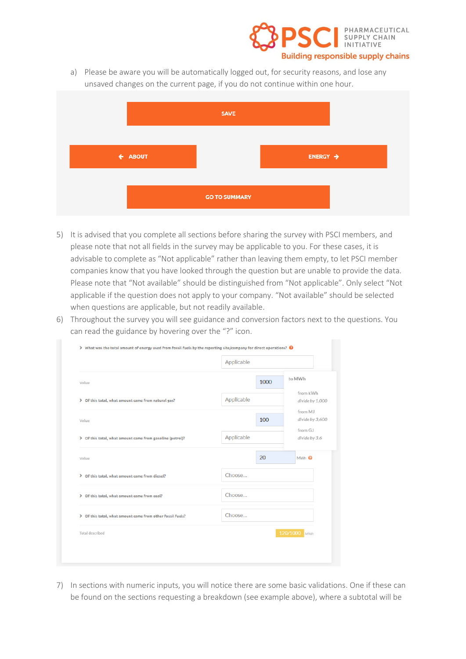

a) Please be aware you will be automatically logged out, for security reasons, and lose any unsaved changes on the current page, if you do not continue within one hour.



- 5) It is advised that you complete all sections before sharing the survey with PSCI members, and please note that not all fields in the survey may be applicable to you. For these cases, it is advisable to complete as "Not applicable" rather than leaving them empty, to let PSCI member companies know that you have looked through the question but are unable to provide the data. Please note that "Not available" should be distinguished from "Not applicable". Only select "Not applicable if the question does not apply to your company. "Not available" should be selected when questions are applicable, but not readily available.
- 6) Throughout the survey you will see guidance and conversion factors next to the questions. You can read the guidance by hovering over the "?" icon.

|                                                            | Applicable |                             |
|------------------------------------------------------------|------------|-----------------------------|
| Value                                                      | 1000       | to MWh                      |
| > Of this total, what amount came from natural gas?        | Applicable | from kWh<br>divide by 1,000 |
| Value                                                      | 100        | from MJ<br>divide by 3,600  |
| > Of this total, what amount came from gasoline (petrol)?  | Applicable | from GJ<br>divide by 3.6    |
| Value                                                      | 20         | MWh <sup>O</sup>            |
| > Of this total, what amount came from diesel?             | Choose     |                             |
| > Of this total, what amount came from coal?               | Choose     |                             |
| > Of this total, what amount came from other fossil fuels? | Choose     |                             |
| <b>Total described</b>                                     |            | 120/1000 MWh                |

7) In sections with numeric inputs, you will notice there are some basic validations. One if these can be found on the sections requesting a breakdown (see example above), where a subtotal will be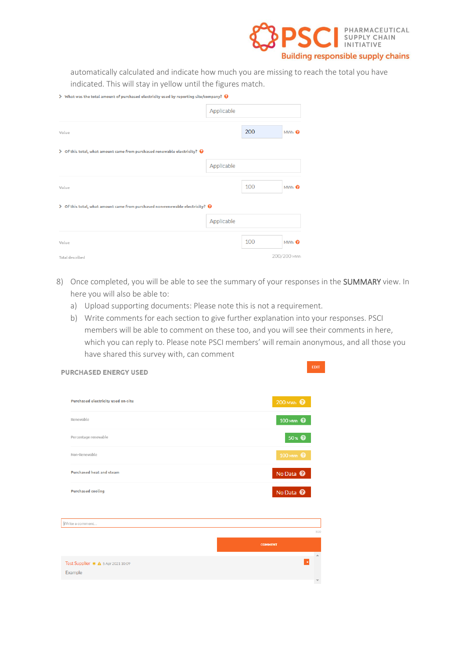

**EDIT** 

automatically calculated and indicate how much you are missing to reach the total you have indicated. This will stay in yellow until the figures match.

| $\triangleright$ What was the total amount of purchased electricity used by reporting site/company? $\bigcirc$ |            |     |                  |
|----------------------------------------------------------------------------------------------------------------|------------|-----|------------------|
|                                                                                                                | Applicable |     |                  |
| Value                                                                                                          |            | 200 | MWh <sup>O</sup> |
| $\triangleright$ Of this total, what amount came from purchased renewable electricity? $\bigcirc$              |            |     |                  |
|                                                                                                                | Applicable |     |                  |
| Value                                                                                                          |            | 100 | MWh <sup>O</sup> |
| $\triangleright$ Of this total, what amount came from purchased non-renewable electricity? $\Theta$            |            |     |                  |
|                                                                                                                | Applicable |     |                  |
| Value                                                                                                          |            | 100 | MWh <sup>O</sup> |
| <b>Total described</b>                                                                                         |            |     | 200/200 mwh      |

- 8) Once completed, you will be able to see the summary of your responses in the SUMMARY view. In here you will also be able to:
	- a) Upload supporting documents: Please note this is not a requirement.

**PURCHASED ENERGY USED** 

b) Write comments for each section to give further explanation into your responses. PSCI members will be able to comment on these too, and you will see their comments in here, which you can reply to. Please note PSCI members' will remain anonymous, and all those you have shared this survey with, can comment

| <b>Purchased electricity used on-site</b> | 200 MWh                    |
|-------------------------------------------|----------------------------|
| Renewable                                 | 100 MWh <sup>0</sup>       |
| Percentage renewable                      | $50 \times 2$              |
| Non-Renewable                             | 100 MWh <sup>0</sup>       |
| <b>Purchased heat and steam</b>           | No Data <sup>O</sup>       |
| <b>Purchased cooling</b>                  | No Data <sup>O</sup>       |
|                                           |                            |
| Write a comment                           |                            |
|                                           | 500                        |
|                                           | <b>COMMENT</b><br>$\Delta$ |
| Test Supplier * A 5 Apr 2021 10:09        | $\pmb{\times}$             |
| Example                                   |                            |
|                                           | $\overline{\phantom{a}}$   |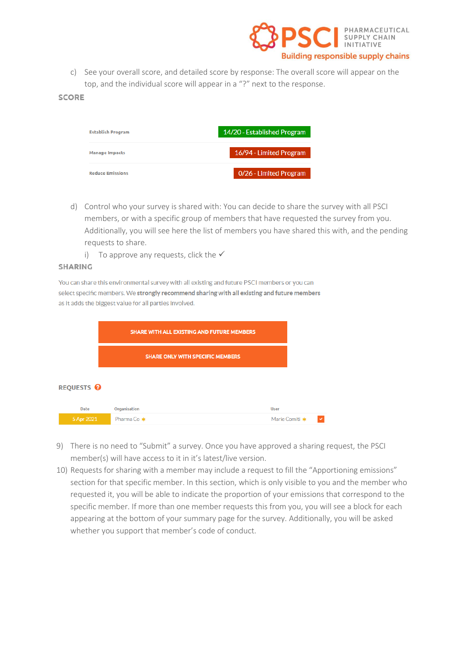

c) See your overall score, and detailed score by response: The overall score will appear on the top, and the individual score will appear in a "?" next to the response.

#### **SCORE**

| <b>Establish Program</b> | 14/20 - Established Program |
|--------------------------|-----------------------------|
| <b>Manage Impacts</b>    | 16/94 - Limited Program     |
| <b>Reduce Emissions</b>  | 0/26 - Limited Program      |

- d) Control who your survey is shared with: You can decide to share the survey with all PSCI members, or with a specific group of members that have requested the survey from you. Additionally, you will see here the list of members you have shared this with, and the pending requests to share.
	- i) To approve any requests, click the  $\checkmark$

#### **SHARING**

You can share this environmental survey with all existing and future PSCI members or you can select specific members. We strongly recommend sharing with all existing and future members as it adds the biggest value for all parties involved.

|                       | <b>SHARE WITH ALL EXISTING AND FUTURE MEMBERS</b> |                                         |                |  |  |
|-----------------------|---------------------------------------------------|-----------------------------------------|----------------|--|--|
|                       |                                                   | <b>SHARE ONLY WITH SPECIFIC MEMBERS</b> |                |  |  |
| REQUESTS <sup>Q</sup> |                                                   |                                         |                |  |  |
| <b>Date</b>           | Organisation                                      |                                         | <b>User</b>    |  |  |
| 5 Apr 2021            | Pharma Co *                                       |                                         | Marie Comiti * |  |  |

- 9) There is no need to "Submit" a survey. Once you have approved a sharing request, the PSCI member(s) will have access to it in it's latest/live version.
- 10) Requests for sharing with a member may include a request to fill the "Apportioning emissions" section for that specific member. In this section, which is only visible to you and the member who requested it, you will be able to indicate the proportion of your emissions that correspond to the specific member. If more than one member requests this from you, you will see a block for each appearing at the bottom of your summary page for the survey. Additionally, you will be asked whether you support that member's code of conduct.